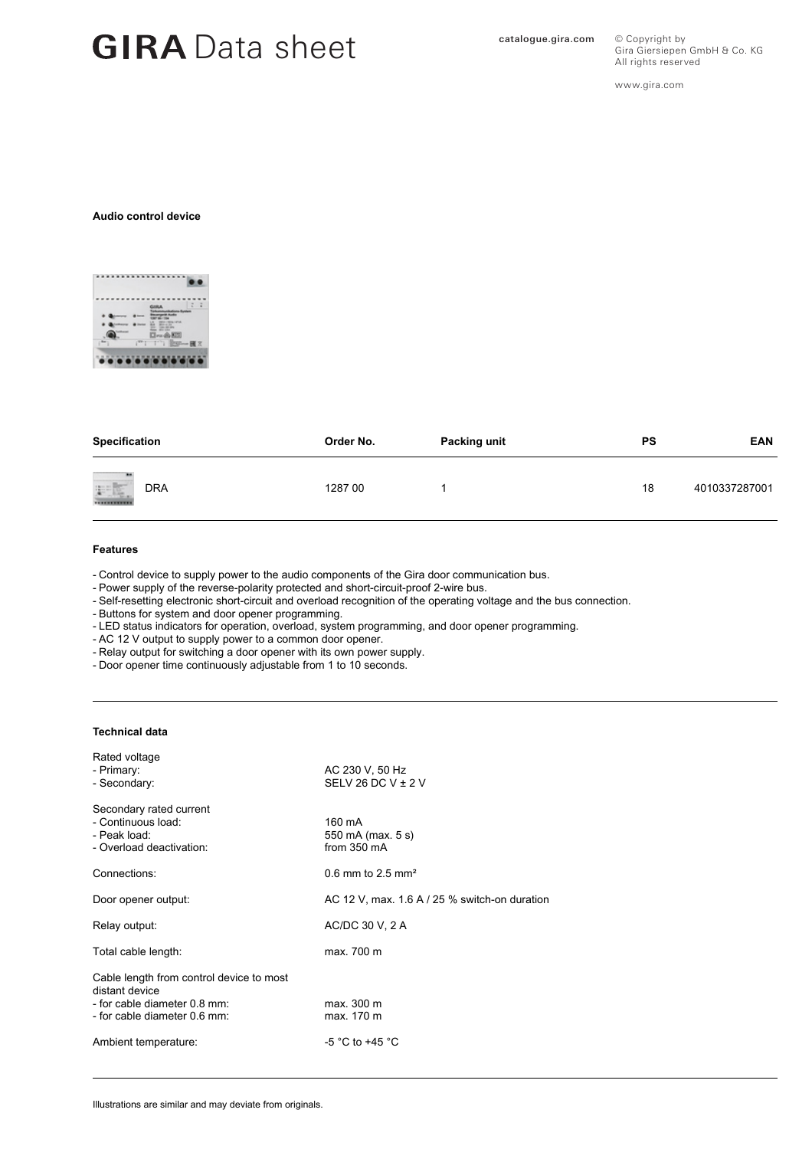# GIRA Data sheet **Catalogue.gira.com**

All rights reserved www.gira.com

Gira Giersiepen GmbH & Co. KG

© Copyright by

#### **Audio control device**



| Specification     | Order No. | Packing unit | <b>PS</b> | <b>EAN</b>    |
|-------------------|-----------|--------------|-----------|---------------|
| ul.<br><b>DRA</b> | 1287 00   |              | 18        | 4010337287001 |

#### **Features**

- Control device to supply power to the audio components of the Gira door communication bus.

- Power supply of the reverse-polarity protected and short-circuit-proof 2-wire bus.

- Self-resetting electronic short-circuit and overload recognition of the operating voltage and the bus connection.

- Buttons for system and door opener programming.

- LED status indicators for operation, overload, system programming, and door opener programming.

- AC 12 V output to supply power to a common door opener.

- Relay output for switching a door opener with its own power supply.

- Door opener time continuously adjustable from 1 to 10 seconds.

### **Technical data**

| Rated voltage<br>- Primary:<br>- Secondary:                                                                                | AC 230 V, 50 Hz<br>SELV 26 DC V $\pm$ 2 V     |  |
|----------------------------------------------------------------------------------------------------------------------------|-----------------------------------------------|--|
| Secondary rated current<br>- Continuous load:<br>- Peak load:<br>- Overload deactivation:                                  | 160 mA<br>550 mA (max. 5 s)<br>from 350 mA    |  |
| Connections:                                                                                                               | 0.6 mm to 2.5 mm <sup>2</sup>                 |  |
| Door opener output:                                                                                                        | AC 12 V, max. 1.6 A / 25 % switch-on duration |  |
| Relay output:                                                                                                              | AC/DC 30 V, 2 A                               |  |
| Total cable length:                                                                                                        | max. 700 m                                    |  |
| Cable length from control device to most<br>distant device<br>- for cable diameter 0.8 mm:<br>- for cable diameter 0.6 mm: | max. 300 m<br>max. 170 m                      |  |
| Ambient temperature:                                                                                                       | -5 °C to +45 °C                               |  |